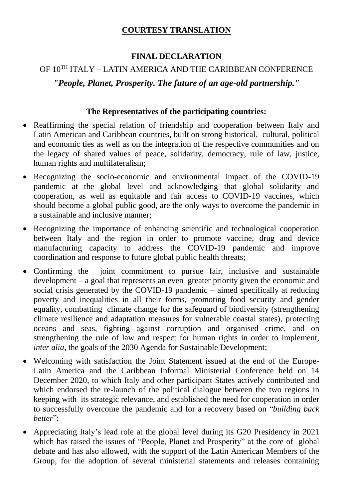## **COURTESY TRANSLATION**

## **FINAL DECLARATION**

## OF 10TH ITALY – LATIN AMERICA AND THE CARIBBEAN CONFERENCE *"People, Planet, Prosperity. The future of an age-old partnership."*

## **The Representatives of the participating countries:**

- Reaffirming the special relation of friendship and cooperation between Italy and Latin American and Caribbean countries, built on strong historical, cultural, political and economic ties as well as on the integration of the respective communities and on the legacy of shared values of peace, solidarity, democracy, rule of law, justice, human rights and multilateralism;
- Recognizing the socio-economic and environmental impact of the COVID-19 pandemic at the global level and acknowledging that global solidarity and cooperation, as well as equitable and fair access to COVID-19 vaccines, which should become a global public good, are the only ways to overcome the pandemic in a sustainable and inclusive manner;
- Recognizing the importance of enhancing scientific and technological cooperation between Italy and the region in order to promote vaccine, drug and device manufacturing capacity to address the COVID-19 pandemic and improve coordination and response to future global public health threats;
- Confirming the joint commitment to pursue fair, inclusive and sustainable development – a goal that represents an even greater priority given the economic and social crisis generated by the COVID-19 pandemic – aimed specifically at reducing poverty and inequalities in all their forms, promoting food security and gender equality, combatting climate change for the safeguard of biodiversity (strengthening climate resilience and adaptation measures for vulnerable coastal states), protecting oceans and seas, fighting against corruption and organised crime, and on strengthening the rule of law and respect for human rights in order to implement, *inter alia*, the goals of the 2030 Agenda for Sustainable Development;
- Welcoming with satisfaction the Joint Statement issued at the end of the Europe-Latin America and the Caribbean Informal Ministerial Conference held on 14 December 2020, to which Italy and other participant States actively contributed and which endorsed the re-launch of the political dialogue between the two regions in keeping with its strategic relevance, and established the need for cooperation in order to successfully overcome the pandemic and for a recovery based on "*building back better*";
- Appreciating Italy's lead role at the global level during its G20 Presidency in 2021 which has raised the issues of "People, Planet and Prosperity" at the core of global debate and has also allowed, with the support of the Latin American Members of the Group, for the adoption of several ministerial statements and releases containing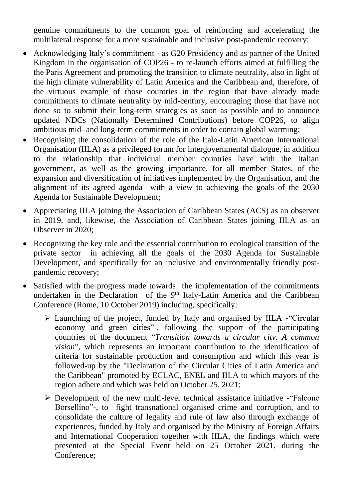genuine commitments to the common goal of reinforcing and accelerating the multilateral response for a more sustainable and inclusive post-pandemic recovery;

- Acknowledging Italy's commitment as G20 Presidency and as partner of the United Kingdom in the organisation of COP26 - to re-launch efforts aimed at fulfilling the the Paris Agreement and promoting the transition to climate neutrality, also in light of the high climate vulnerability of Latin America and the Caribbean and, therefore, of the virtuous example of those countries in the region that have already made commitments to climate neutrality by mid-century, encouraging those that have not done so to submit their long-term strategies as soon as possible and to announce updated NDCs (Nationally Determined Contributions) before COP26, to align ambitious mid- and long-term commitments in order to contain global warming;
- Recognising the consolidation of the role of the Italo-Latin American International Organisation (IILA) as a privileged forum for intergovernmental dialogue, in addition to the relationship that individual member countries have with the Italian government, as well as the growing importance, for all member States, of the expansion and diversification of initiatives implemented by the Organisation, and the alignment of its agreed agenda with a view to achieving the goals of the 2030 Agenda for Sustainable Development;
- Appreciating IILA joining the Association of Caribbean States (ACS) as an observer in 2019, and, likewise, the Association of Caribbean States joining IILA as an Observer in 2020;
- Recognizing the key role and the essential contribution to ecological transition of the private sector in achieving all the goals of the 2030 Agenda for Sustainable Development, and specifically for an inclusive and environmentally friendly postpandemic recovery;
- Satisfied with the progress made towards the implementation of the commitments undertaken in the Declaration of the  $9<sup>th</sup>$  Italy-Latin America and the Caribbean Conference (Rome, 10 October 2019) including, specifically:
	- Launching of the project, funded by Italy and organised by IILA -"Circular economy and green cities"-, following the support of the participating countries of the document "*Transition towards a circular city. A common vision*", which represents an important contribution to the identification of criteria for sustainable production and consumption and which this year is followed-up by the "Declaration of the Circular Cities of Latin America and the Caribbean" promoted by ECLAC, ENEL and IILA to which mayors of the region adhere and which was held on October 25, 2021;
	- $\triangleright$  Development of the new multi-level technical assistance initiative "Falcone" Borsellino"-, to fight transnational organised crime and corruption, and to consolidate the culture of legality and rule of law also through exchange of experiences, funded by Italy and organised by the Ministry of Foreign Affairs and International Cooperation together with IILA, the findings which were presented at the Special Event held on 25 October 2021, during the Conference;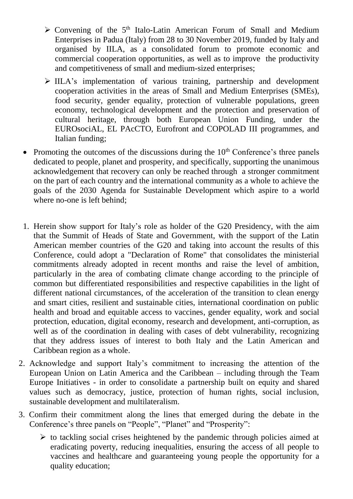- $\triangleright$  Convening of the 5<sup>th</sup> Italo-Latin American Forum of Small and Medium Enterprises in Padua (Italy) from 28 to 30 November 2019, funded by Italy and organised by IILA, as a consolidated forum to promote economic and commercial cooperation opportunities, as well as to improve the productivity and competitiveness of small and medium-sized enterprises;
- $\triangleright$  IILA's implementation of various training, partnership and development cooperation activities in the areas of Small and Medium Enterprises (SMEs), food security, gender equality, protection of vulnerable populations, green economy, technological development and the protection and preservation of cultural heritage, through both European Union Funding, under the EUROsociAL, EL PAcCTO, Eurofront and COPOLAD III programmes, and Italian funding;
- Promoting the outcomes of the discussions during the  $10<sup>th</sup>$  Conference's three panels dedicated to people, planet and prosperity, and specifically, supporting the unanimous acknowledgement that recovery can only be reached through a stronger commitment on the part of each country and the international community as a whole to achieve the goals of the 2030 Agenda for Sustainable Development which aspire to a world where no-one is left behind;
- 1. Herein show support for Italy's role as holder of the G20 Presidency, with the aim that the Summit of Heads of State and Government, with the support of the Latin American member countries of the G20 and taking into account the results of this Conference, could adopt a "Declaration of Rome" that consolidates the ministerial commitments already adopted in recent months and raise the level of ambition, particularly in the area of combating climate change according to the principle of common but differentiated responsibilities and respective capabilities in the light of different national circumstances, of the acceleration of the transition to clean energy and smart cities, resilient and sustainable cities, international coordination on public health and broad and equitable access to vaccines, gender equality, work and social protection, education, digital economy, research and development, anti-corruption, as well as of the coordination in dealing with cases of debt vulnerability, recognizing that they address issues of interest to both Italy and the Latin American and Caribbean region as a whole.
- 2. Acknowledge and support Italy's commitment to increasing the attention of the European Union on Latin America and the Caribbean – including through the Team Europe Initiatives - in order to consolidate a partnership built on equity and shared values such as democracy, justice, protection of human rights, social inclusion, sustainable development and multilateralism.
- 3. Confirm their commitment along the lines that emerged during the debate in the Conference's three panels on "People", "Planet" and "Prosperity":
	- $\triangleright$  to tackling social crises heightened by the pandemic through policies aimed at eradicating poverty, reducing inequalities, ensuring the access of all people to vaccines and healthcare and guaranteeing young people the opportunity for a quality education;